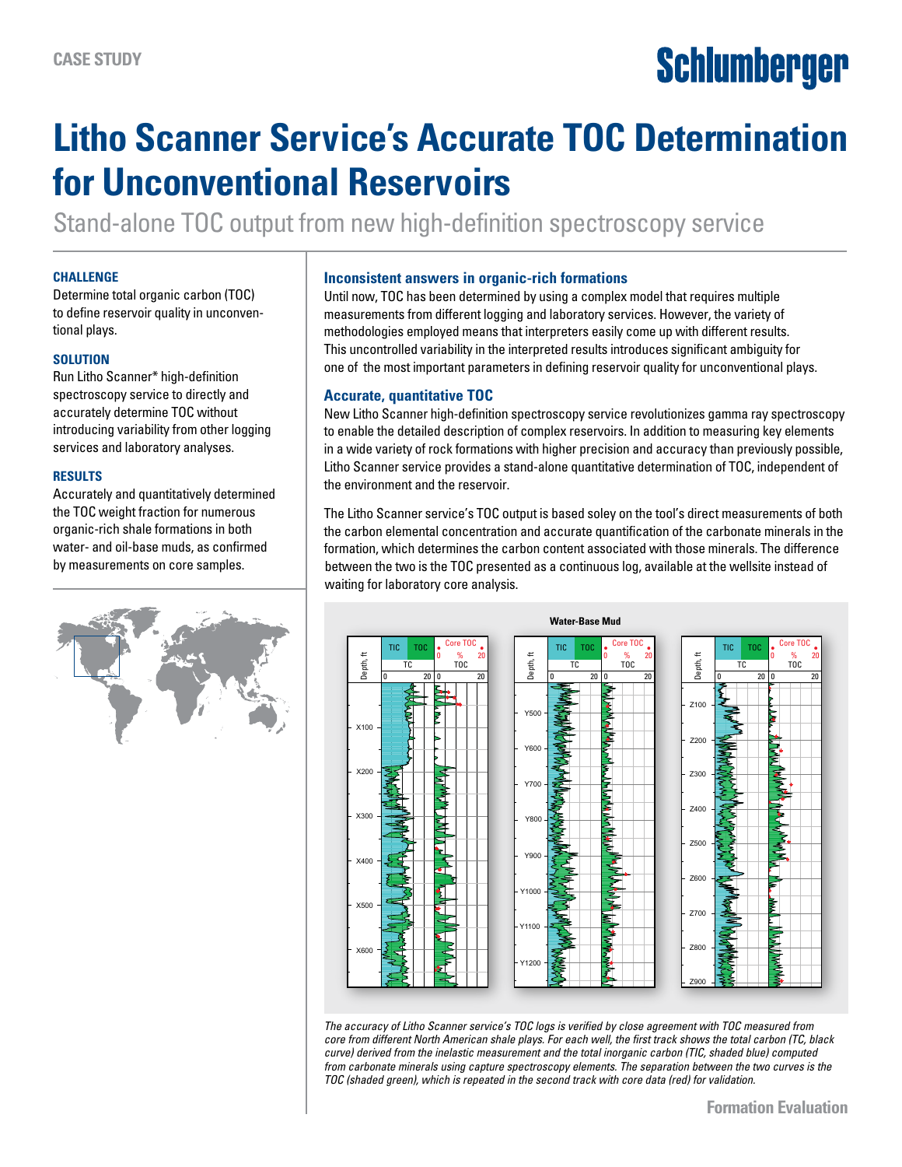# **Schlumberger**

# **Litho Scanner Service's Accurate TOC Determination for Unconventional Reservoirs**

Stand-alone TOC output from new high-definition spectroscopy service

#### **CHALLENGE**

Determine total organic carbon (TOC) to define reservoir quality in unconventional plays.

#### **SOLUTION**

Run Litho Scanner\* high-definition spectroscopy service to directly and accurately determine TOC without introducing variability from other logging services and laboratory analyses.

#### **RESULTS**

Accurately and quantitatively determined the TOC weight fraction for numerous organic-rich shale formations in both water- and oil-base muds, as confirmed by measurements on core samples.



#### **Inconsistent answers in organic-rich formations**

Until now, TOC has been determined by using a complex model that requires multiple measurements from different logging and laboratory services. However, the variety of methodologies employed means that interpreters easily come up with different results. This uncontrolled variability in the interpreted results introduces significant ambiguity for one of the most important parameters in defining reservoir quality for unconventional plays.

### **Accurate, quantitative TOC**

New Litho Scanner high-definition spectroscopy service revolutionizes gamma ray spectroscopy to enable the detailed description of complex reservoirs. In addition to measuring key elements in a wide variety of rock formations with higher precision and accuracy than previously possible, Litho Scanner service provides a stand-alone quantitative determination of TOC, independent of the environment and the reservoir.

The Litho Scanner service's TOC output is based soley on the tool's direct measurements of both the carbon elemental concentration and accurate quantification of the carbonate minerals in the formation, which determines the carbon content associated with those minerals. The difference between the two is the TOC presented as a continuous log, available at the wellsite instead of waiting for laboratory core analysis.



*The accuracy of Litho Scanner service's TOC logs is verified by close agreement with TOC measured from core from different North American shale plays. For each well, the first track shows the total carbon (TC, black curve) derived from the inelastic measurement and the total inorganic carbon (TIC, shaded blue) computed from carbonate minerals using capture spectroscopy elements. The separation between the two curves is the TOC (shaded green), which is repeated in the second track with core data (red) for validation.*